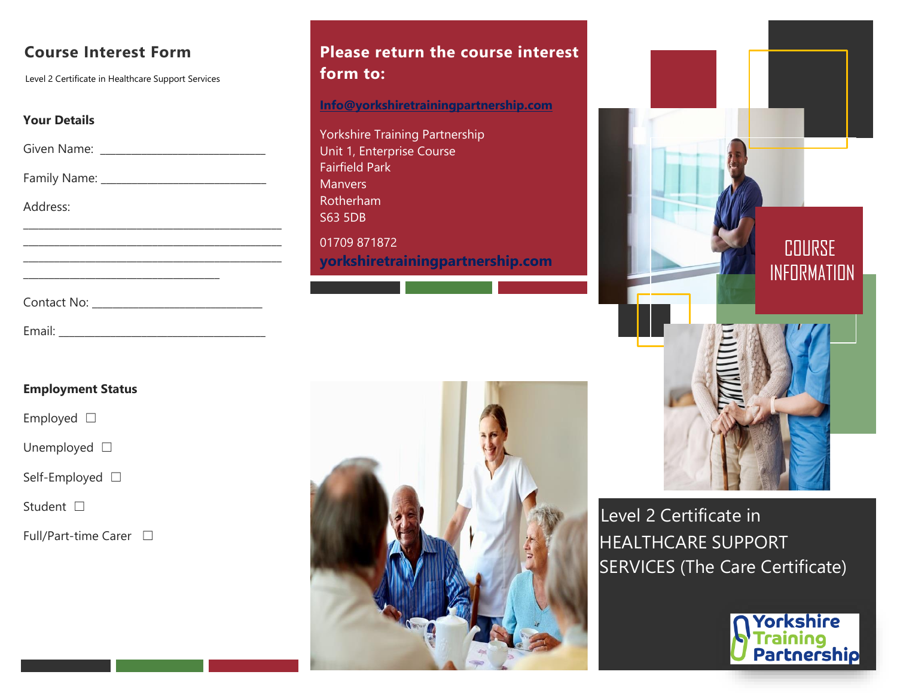# **Course Interest Form**

Level 2 Certificate in Healthcare Support Services

### **Your Details**

Given Name: \_\_\_\_\_\_\_\_\_\_\_\_\_\_\_\_\_\_\_\_\_\_\_\_\_\_\_\_\_\_\_\_

Family Name: \_\_\_\_\_\_\_\_\_\_\_\_\_\_\_\_\_\_\_\_\_\_\_\_\_\_\_\_\_\_\_\_

\_\_\_\_\_\_\_\_\_\_\_\_\_\_\_\_\_\_\_\_\_\_\_\_\_\_\_\_\_\_\_\_\_\_\_\_\_\_\_\_\_\_\_\_\_\_\_\_\_\_ \_\_\_\_\_\_\_\_\_\_\_\_\_\_\_\_\_\_\_\_\_\_\_\_\_\_\_\_\_\_\_\_\_\_\_\_\_\_\_\_\_\_\_\_\_\_\_\_\_\_

Email: \_\_\_\_\_\_\_\_\_\_\_\_\_\_\_\_\_\_\_\_\_\_\_\_\_\_\_\_\_\_\_\_\_\_\_\_\_\_\_\_

Address:

Contact No: \_\_\_\_\_\_\_\_\_\_\_\_\_\_\_\_\_\_\_\_\_\_\_\_\_\_\_\_\_\_\_\_\_

## **Employment Status**

Employed □

Unemployed □

Self-Employed □

Student □

Full/Part-time Carer  $\Box$ 

# **Please return the course interest form to:**

**[Info@yorkshiretrainingpartnership.com](mailto:Info@yorkshiretrainingpartnership.com)**

Yorkshire Training Partnership Unit 1, Enterprise Course Fairfield Park **Manvers** Rotherham S63 5DB 01709 871872 **yorkshiretrainingpartnership.com**





Level 2 Certificate in HEALTHCARE SUPPORT SERVICES (The Care Certificate)